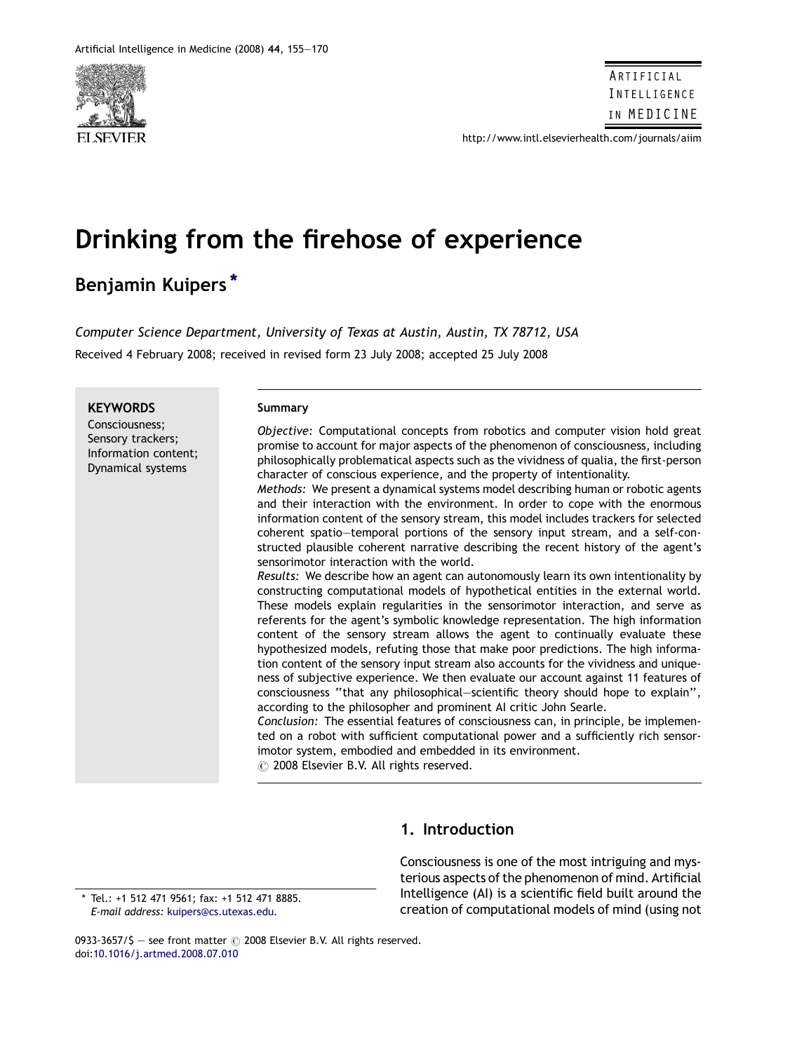

ARTIFICIAL INTELLIGENCE IN MEDICINE

http://www.intl.elsevierhealth.com/journals/aiim

# Drinking from the firehose of experience

# Benjamin Kuipers \*

Computer Science Department, University of Texas at Austin, Austin, TX 78712, USA Received 4 February 2008; received in revised form 23 July 2008; accepted 25 July 2008

# **KEYWORDS**

Consciousness; Sensory trackers; Information content; Dynamical systems

#### Summary

Objective: Computational concepts from robotics and computer vision hold great promise to account for major aspects of the phenomenon of consciousness, including philosophically problematical aspects such as the vividness of qualia, the first-person character of conscious experience, and the property of intentionality.

Methods: We present a dynamical systems model describing human or robotic agents and their interaction with the environment. In order to cope with the enormous information content of the sensory stream, this model includes trackers for selected coherent spatio—temporal portions of the sensory input stream, and a self-constructed plausible coherent narrative describing the recent history of the agent's sensorimotor interaction with the world.

Results: We describe how an agent can autonomously learn its own intentionality by constructing computational models of hypothetical entities in the external world. These models explain regularities in the sensorimotor interaction, and serve as referents for the agent's symbolic knowledge representation. The high information content of the sensory stream allows the agent to continually evaluate these hypothesized models, refuting those that make poor predictions. The high information content of the sensory input stream also accounts for the vividness and uniqueness of subjective experience. We then evaluate our account against 11 features of consciousness ''that any philosophical—scientific theory should hope to explain'', according to the philosopher and prominent AI critic John Searle.

Conclusion: The essential features of consciousness can, in principle, be implemented on a robot with sufficient computational power and a sufficiently rich sensorimotor system, embodied and embedded in its environment.

 $\odot$  2008 Elsevier B.V. All rights reserved.

# 1. Introduction

Consciousness is one of the most intriguing and mysterious aspects of the phenomenon of mind. Artificial Intelligence (AI) is a scientific field built around the creation of computational models of mind (using not

\* Tel.: +1 512 471 9561; fax: +1 512 471 8885. E-mail address: [kuipers@cs.utexas.edu](mailto:kuipers@cs.utexas.edu).

0933-3657/\$ - see front matter  $\odot$  2008 Elsevier B.V. All rights reserved. doi[:10.1016/j.artmed.2008.07.010](http://dx.doi.org/10.1016/j.artmed.2008.07.010)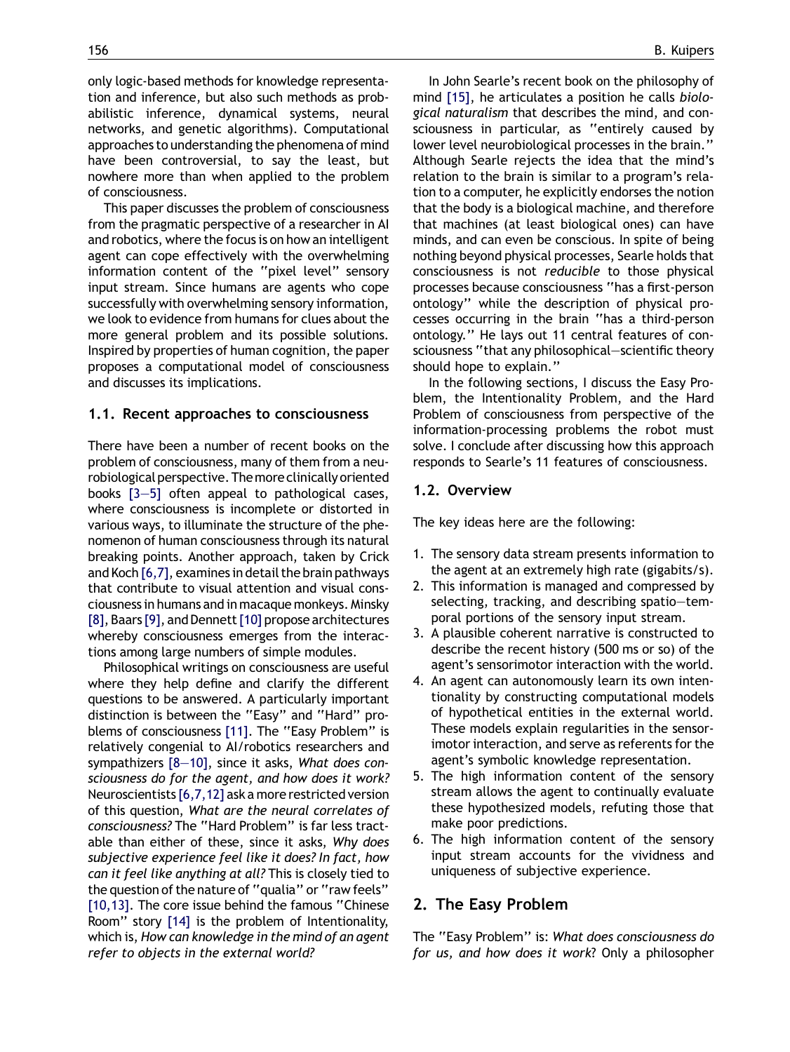only logic-based methods for knowledge representation and inference, but also such methods as probabilistic inference, dynamical systems, neural networks, and genetic algorithms). Computational approaches to understanding the phenomena of mind have been controversial, to say the least, but nowhere more than when applied to the problem of consciousness.

This paper discusses the problem of consciousness from the pragmatic perspective of a researcher in AI and robotics, where the focus is on how an intelligent agent can cope effectively with the overwhelming information content of the ''pixel level'' sensory input stream. Since humans are agents who cope successfully with overwhelming sensory information, we look to evidence from humans for clues about the more general problem and its possible solutions. Inspired by properties of human cognition, the paper proposes a computational model of consciousness and discusses its implications.

#### 1.1. Recent approaches to consciousness

There have been a number of recent books on the problem of consciousness, many of them from a neurobiological perspective. Themore clinically oriented books [\[3—5\]](#page-14-0) often appeal to pathological cases, where consciousness is incomplete or distorted in various ways, to illuminate the structure of the phenomenon of human consciousness through its natural breaking points. Another approach, taken by Crick and Koch [\[6,7\]](#page-14-0), examines in detail the brain pathways that contribute to visual attention and visual consciousness in humans and in macaque monkeys. Minsky [\[8\],](#page-14-0) Baars [\[9\]](#page-14-0), and Dennett [\[10\]](#page-14-0) propose architectures whereby consciousness emerges from the interactions among large numbers of simple modules.

Philosophical writings on consciousness are useful where they help define and clarify the different questions to be answered. A particularly important distinction is between the ''Easy'' and ''Hard'' problems of consciousness [\[11\]](#page-14-0). The ''Easy Problem'' is relatively congenial to AI/robotics researchers and sympathizers [8-10], since it asks, What does consciousness do for the agent, and how does it work? Neuroscientists[\[6,7,12\]](#page-14-0) ask a more restricted version of this question, What are the neural correlates of consciousness? The ''Hard Problem'' is far less tractable than either of these, since it asks, Why does subjective experience feel like it does? In fact, how can it feel like anything at all? This is closely tied to the question of the nature of ''qualia'' or ''raw feels'' [\[10,13\].](#page-14-0) The core issue behind the famous ''Chinese Room'' story [\[14\]](#page-14-0) is the problem of Intentionality, which is, How can knowledge in the mind of an agent refer to objects in the external world?

In John Searle's recent book on the philosophy of mind [\[15\],](#page-14-0) he articulates a position he calls biological naturalism that describes the mind, and consciousness in particular, as ''entirely caused by lower level neurobiological processes in the brain.'' Although Searle rejects the idea that the mind's relation to the brain is similar to a program's relation to a computer, he explicitly endorses the notion that the body is a biological machine, and therefore that machines (at least biological ones) can have minds, and can even be conscious. In spite of being nothing beyond physical processes, Searle holds that consciousness is not reducible to those physical processes because consciousness ''has a first-person ontology'' while the description of physical processes occurring in the brain ''has a third-person ontology.'' He lays out 11 central features of consciousness ''that any philosophical—scientific theory should hope to explain.''

In the following sections, I discuss the Easy Problem, the Intentionality Problem, and the Hard Problem of consciousness from perspective of the information-processing problems the robot must solve. I conclude after discussing how this approach responds to Searle's 11 features of consciousness.

#### 1.2. Overview

The key ideas here are the following:

- 1. The sensory data stream presents information to the agent at an extremely high rate (gigabits/s).
- 2. This information is managed and compressed by selecting, tracking, and describing spatio—temporal portions of the sensory input stream.
- 3. A plausible coherent narrative is constructed to describe the recent history (500 ms or so) of the agent's sensorimotor interaction with the world.
- 4. An agent can autonomously learn its own intentionality by constructing computational models of hypothetical entities in the external world. These models explain regularities in the sensorimotor interaction, and serve as referents for the agent's symbolic knowledge representation.
- 5. The high information content of the sensory stream allows the agent to continually evaluate these hypothesized models, refuting those that make poor predictions.
- 6. The high information content of the sensory input stream accounts for the vividness and uniqueness of subjective experience.

## 2. The Easy Problem

The ''Easy Problem'' is: What does consciousness do for us, and how does it work? Only a philosopher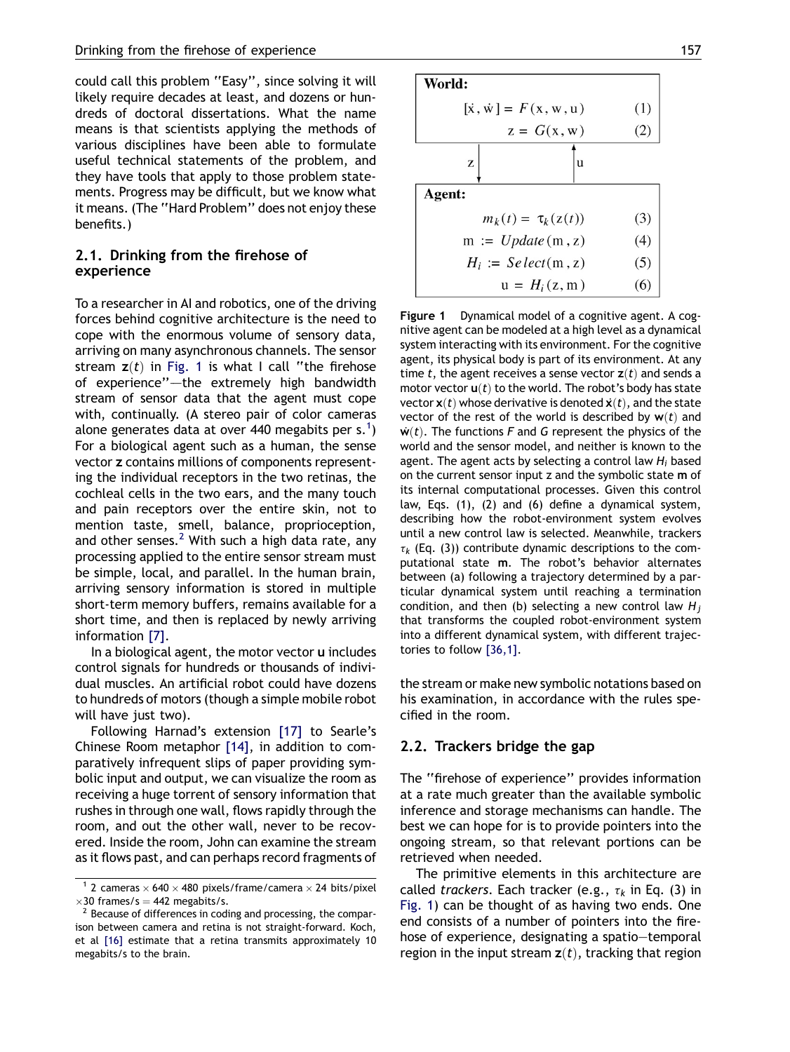<span id="page-2-0"></span>could call this problem ''Easy'', since solving it will likely require decades at least, and dozens or hundreds of doctoral dissertations. What the name means is that scientists applying the methods of various disciplines have been able to formulate useful technical statements of the problem, and they have tools that apply to those problem statements. Progress may be difficult, but we know what it means. (The ''Hard Problem'' does not enjoy these benefits.)

#### 2.1. Drinking from the firehose of experience

To a researcher in AI and robotics, one of the driving forces behind cognitive architecture is the need to cope with the enormous volume of sensory data, arriving on many asynchronous channels. The sensor stream  $z(t)$  in Fig. 1 is what I call "the firehose of experience"--the extremely high bandwidth stream of sensor data that the agent must cope with, continually. (A stereo pair of color cameras alone generates data at over 440 megabits per s. $^{\rm 1)}$ For a biological agent such as a human, the sense vector z contains millions of components representing the individual receptors in the two retinas, the cochleal cells in the two ears, and the many touch and pain receptors over the entire skin, not to mention taste, smell, balance, proprioception, and other senses.<sup>2</sup> With such a high data rate, any processing applied to the entire sensor stream must be simple, local, and parallel. In the human brain, arriving sensory information is stored in multiple short-term memory buffers, remains available for a short time, and then is replaced by newly arriving information [\[7\]](#page-14-0).

In a biological agent, the motor vector u includes control signals for hundreds or thousands of individual muscles. An artificial robot could have dozens to hundreds of motors (though a simple mobile robot will have just two).

Following Harnad's extension [\[17\]](#page-14-0) to Searle's Chinese Room metaphor [\[14\],](#page-14-0) in addition to comparatively infrequent slips of paper providing symbolic input and output, we can visualize the room as receiving a huge torrent of sensory information that rushes in through one wall, flows rapidly through the room, and out the other wall, never to be recovered. Inside the room, John can examine the stream as it flows past, and can perhaps record fragments of

| World:                |                                   |     |
|-----------------------|-----------------------------------|-----|
|                       | $[\dot{x}, \dot{w}] = F(x, w, u)$ | (1) |
|                       | $z = G(x, w)$                     | (2) |
| Z                     | u                                 |     |
| <b>Agent:</b>         |                                   |     |
|                       | $m_k(t) = \tau_k(z(t))$           | (3) |
| $m := Update(m, z)$   |                                   | (4) |
| $H_i := Select(m, z)$ |                                   | (5) |
| $u = H_i(z, m)$       |                                   | 66  |

Figure 1 Dynamical model of a cognitive agent. A cognitive agent can be modeled at a high level as a dynamical system interacting with its environment. For the cognitive agent, its physical body is part of its environment. At any time t, the agent receives a sense vector  $z(t)$  and sends a motor vector  $u(t)$  to the world. The robot's body has state vector  $x(t)$  whose derivative is denoted  $\dot{x}(t)$ , and the state vector of the rest of the world is described by  $w(t)$  and  $\dot{w}(t)$ . The functions F and G represent the physics of the world and the sensor model, and neither is known to the agent. The agent acts by selecting a control law  $H_i$  based on the current sensor input z and the symbolic state m of its internal computational processes. Given this control law, Eqs. (1), (2) and (6) define a dynamical system, describing how the robot-environment system evolves until a new control law is selected. Meanwhile, trackers  $\tau_k$  (Eq. (3)) contribute dynamic descriptions to the computational state m. The robot's behavior alternates between (a) following a trajectory determined by a particular dynamical system until reaching a termination condition, and then (b) selecting a new control law  $H_i$ that transforms the coupled robot-environment system into a different dynamical system, with different trajectories to follow [\[36,1\]](#page-15-0).

the stream or make new symbolic notations based on his examination, in accordance with the rules specified in the room.

#### 2.2. Trackers bridge the gap

The ''firehose of experience'' provides information at a rate much greater than the available symbolic inference and storage mechanisms can handle. The best we can hope for is to provide pointers into the ongoing stream, so that relevant portions can be retrieved when needed.

The primitive elements in this architecture are called *trackers*. Each tracker (e.g.,  $\tau_k$  in Eq. (3) in Fig. 1) can be thought of as having two ends. One end consists of a number of pointers into the firehose of experience, designating a spatio—temporal region in the input stream  $z(t)$ , tracking that region

<sup>&</sup>lt;sup>1</sup> 2 cameras  $\times$  640  $\times$  480 pixels/frame/camera  $\times$  24 bits/pixel  $\times$ 30 frames/s = 442 megabits/s.

 $3$  Because of differences in coding and processing, the comparison between camera and retina is not straight-forward. Koch, et al [\[16\]](#page-14-0) estimate that a retina transmits approximately 10 megabits/s to the brain.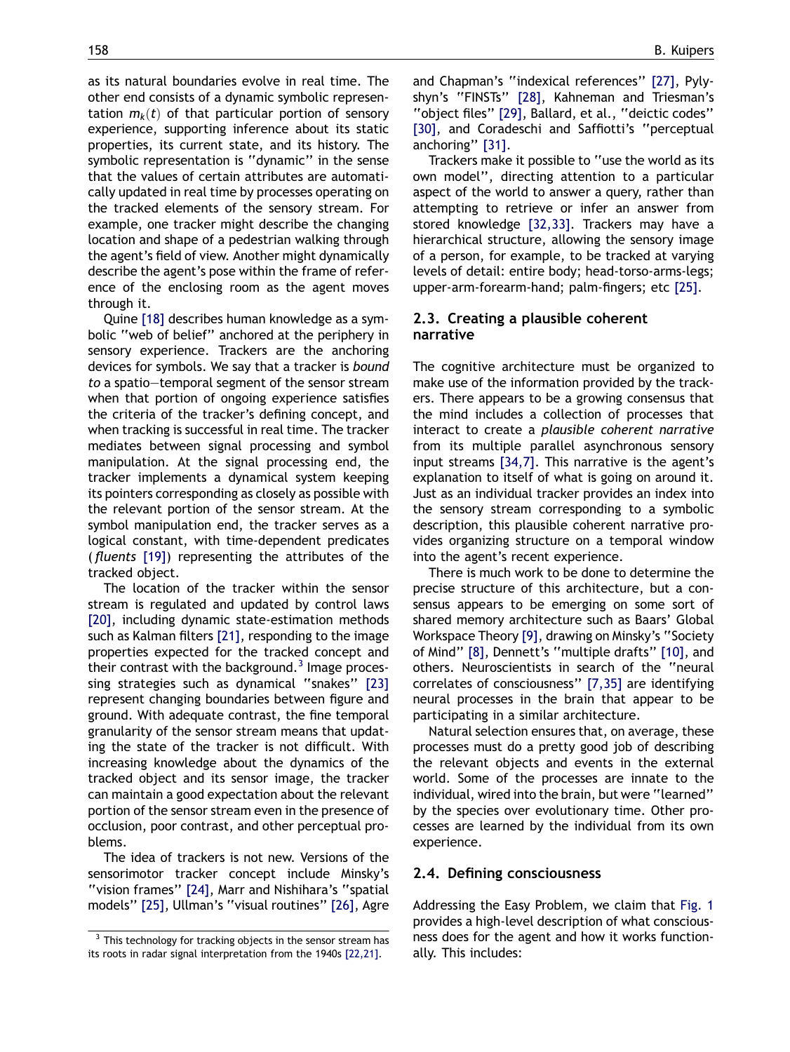as its natural boundaries evolve in real time. The other end consists of a dynamic symbolic representation  $m_k(t)$  of that particular portion of sensory experience, supporting inference about its static properties, its current state, and its history. The symbolic representation is ''dynamic'' in the sense that the values of certain attributes are automatically updated in real time by processes operating on the tracked elements of the sensory stream. For example, one tracker might describe the changing location and shape of a pedestrian walking through the agent's field of view. Another might dynamically describe the agent's pose within the frame of reference of the enclosing room as the agent moves through it.

Quine [\[18\]](#page-14-0) describes human knowledge as a symbolic ''web of belief'' anchored at the periphery in sensory experience. Trackers are the anchoring devices for symbols. We say that a tracker is bound to a spatio—temporal segment of the sensor stream when that portion of ongoing experience satisfies the criteria of the tracker's defining concept, and when tracking is successful in real time. The tracker mediates between signal processing and symbol manipulation. At the signal processing end, the tracker implements a dynamical system keeping its pointers corresponding as closely as possible with the relevant portion of the sensor stream. At the symbol manipulation end, the tracker serves as a logical constant, with time-dependent predicates ( fluents [\[19\]](#page-14-0)) representing the attributes of the tracked object.

The location of the tracker within the sensor stream is regulated and updated by control laws [\[20\]](#page-14-0), including dynamic state-estimation methods such as Kalman filters [\[21\]](#page-14-0), responding to the image properties expected for the tracked concept and their contrast with the background.<sup>3</sup> Image processing strategies such as dynamical ''snakes'' [\[23\]](#page-14-0) represent changing boundaries between figure and ground. With adequate contrast, the fine temporal granularity of the sensor stream means that updating the state of the tracker is not difficult. With increasing knowledge about the dynamics of the tracked object and its sensor image, the tracker can maintain a good expectation about the relevant portion of the sensor stream even in the presence of occlusion, poor contrast, and other perceptual problems.

The idea of trackers is not new. Versions of the sensorimotor tracker concept include Minsky's ''vision frames'' [\[24\]](#page-14-0), Marr and Nishihara's ''spatial models'' [\[25\]](#page-14-0), Ullman's ''visual routines'' [\[26\]](#page-14-0), Agre and Chapman's ''indexical references'' [\[27\]](#page-15-0), Pylyshyn's ''FINSTs'' [\[28\]](#page-15-0), Kahneman and Triesman's ''object files'' [\[29\],](#page-15-0) Ballard, et al., ''deictic codes'' [\[30\]](#page-15-0), and Coradeschi and Saffiotti's "perceptual anchoring'' [\[31\].](#page-15-0)

Trackers make it possible to ''use the world as its own model'', directing attention to a particular aspect of the world to answer a query, rather than attempting to retrieve or infer an answer from stored knowledge [\[32,33\]](#page-15-0). Trackers may have a hierarchical structure, allowing the sensory image of a person, for example, to be tracked at varying levels of detail: entire body; head-torso-arms-legs; upper-arm-forearm-hand; palm-fingers; etc [\[25\]](#page-14-0).

#### 2.3. Creating a plausible coherent narrative

The cognitive architecture must be organized to make use of the information provided by the trackers. There appears to be a growing consensus that the mind includes a collection of processes that interact to create a plausible coherent narrative from its multiple parallel asynchronous sensory input streams [\[34,7\]](#page-15-0). This narrative is the agent's explanation to itself of what is going on around it. Just as an individual tracker provides an index into the sensory stream corresponding to a symbolic description, this plausible coherent narrative provides organizing structure on a temporal window into the agent's recent experience.

There is much work to be done to determine the precise structure of this architecture, but a consensus appears to be emerging on some sort of shared memory architecture such as Baars' Global Workspace Theory [\[9\],](#page-14-0) drawing on Minsky's ''Society of Mind'' [\[8\]](#page-14-0), Dennett's ''multiple drafts'' [\[10\]](#page-14-0), and others. Neuroscientists in search of the ''neural correlates of consciousness'' [\[7,35\]](#page-14-0) are identifying neural processes in the brain that appear to be participating in a similar architecture.

Natural selection ensures that, on average, these processes must do a pretty good job of describing the relevant objects and events in the external world. Some of the processes are innate to the individual, wired into the brain, but were ''learned'' by the species over evolutionary time. Other processes are learned by the individual from its own experience.

#### 2.4. Defining consciousness

Addressing the Easy Problem, we claim that [Fig. 1](#page-2-0) provides a high-level description of what consciousness does for the agent and how it works functionally. This includes:

 $3$  This technology for tracking objects in the sensor stream has its roots in radar signal interpretation from the 1940s [\[22,21\]](#page-14-0).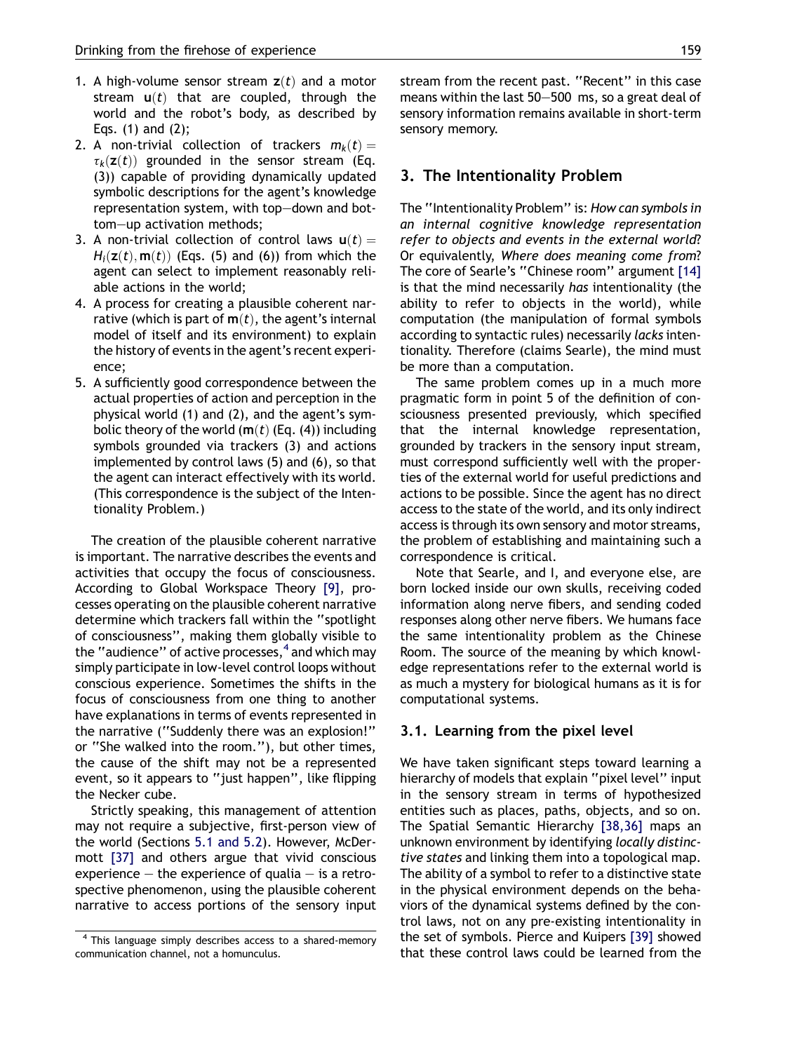- <span id="page-4-0"></span>1. A high-volume sensor stream  $z(t)$  and a motor stream  $u(t)$  that are coupled, through the world and the robot's body, as described by Eqs. (1) and (2);
- 2. A non-trivial collection of trackers  $m_k(t) =$  $\tau_k(z(t))$  grounded in the sensor stream (Eq. (3)) capable of providing dynamically updated symbolic descriptions for the agent's knowledge representation system, with top—down and bottom—up activation methods;
- 3. A non-trivial collection of control laws  $u(t) =$  $H_i(\mathbf{z}(t), \mathbf{m}(t))$  (Eqs. (5) and (6)) from which the agent can select to implement reasonably reliable actions in the world;
- 4. A process for creating a plausible coherent narrative (which is part of  $m(t)$ , the agent's internal model of itself and its environment) to explain the history of events in the agent's recent experience;
- 5. A sufficiently good correspondence between the actual properties of action and perception in the physical world (1) and (2), and the agent's symbolic theory of the world ( $m(t)$  (Eq. (4)) including symbols grounded via trackers (3) and actions implemented by control laws (5) and (6), so that the agent can interact effectively with its world. (This correspondence is the subject of the Intentionality Problem.)

The creation of the plausible coherent narrative is important. The narrative describes the events and activities that occupy the focus of consciousness. According to Global Workspace Theory [\[9\]](#page-14-0), processes operating on the plausible coherent narrative determine which trackers fall within the ''spotlight of consciousness'', making them globally visible to the "audience" of active processes, $4$  and which may simply participate in low-level control loops without conscious experience. Sometimes the shifts in the focus of consciousness from one thing to another have explanations in terms of events represented in the narrative (''Suddenly there was an explosion!'' or ''She walked into the room.''), but other times, the cause of the shift may not be a represented event, so it appears to ''just happen'', like flipping the Necker cube.

Strictly speaking, this management of attention may not require a subjective, first-person view of the world (Sections [5.1 and 5.2\)](#page-9-0). However, McDermott [\[37\]](#page-15-0) and others argue that vivid conscious experience  $-$  the experience of qualia  $-$  is a retrospective phenomenon, using the plausible coherent narrative to access portions of the sensory input stream from the recent past. ''Recent'' in this case means within the last 50—500 ms, so a great deal of sensory information remains available in short-term sensory memory.

# 3. The Intentionality Problem

The ''Intentionality Problem'' is: How can symbols in an internal cognitive knowledge representation refer to objects and events in the external world? Or equivalently, Where does meaning come from? The core of Searle's ''Chinese room'' argument [\[14\]](#page-14-0) is that the mind necessarily has intentionality (the ability to refer to objects in the world), while computation (the manipulation of formal symbols according to syntactic rules) necessarily lacks intentionality. Therefore (claims Searle), the mind must be more than a computation.

The same problem comes up in a much more pragmatic form in point 5 of the definition of consciousness presented previously, which specified that the internal knowledge representation, grounded by trackers in the sensory input stream, must correspond sufficiently well with the properties of the external world for useful predictions and actions to be possible. Since the agent has no direct access to the state of the world, and its only indirect access is through its own sensory and motor streams, the problem of establishing and maintaining such a correspondence is critical.

Note that Searle, and I, and everyone else, are born locked inside our own skulls, receiving coded information along nerve fibers, and sending coded responses along other nerve fibers. We humans face the same intentionality problem as the Chinese Room. The source of the meaning by which knowledge representations refer to the external world is as much a mystery for biological humans as it is for computational systems.

## 3.1. Learning from the pixel level

We have taken significant steps toward learning a hierarchy of models that explain ''pixel level'' input in the sensory stream in terms of hypothesized entities such as places, paths, objects, and so on. The Spatial Semantic Hierarchy [\[38,36\]](#page-15-0) maps an unknown environment by identifying locally distinctive states and linking them into a topological map. The ability of a symbol to refer to a distinctive state in the physical environment depends on the behaviors of the dynamical systems defined by the control laws, not on any pre-existing intentionality in the set of symbols. Pierce and Kuipers [\[39\]](#page-15-0) showed that these control laws could be learned from the

<sup>4</sup> This language simply describes access to a shared-memory communication channel, not a homunculus.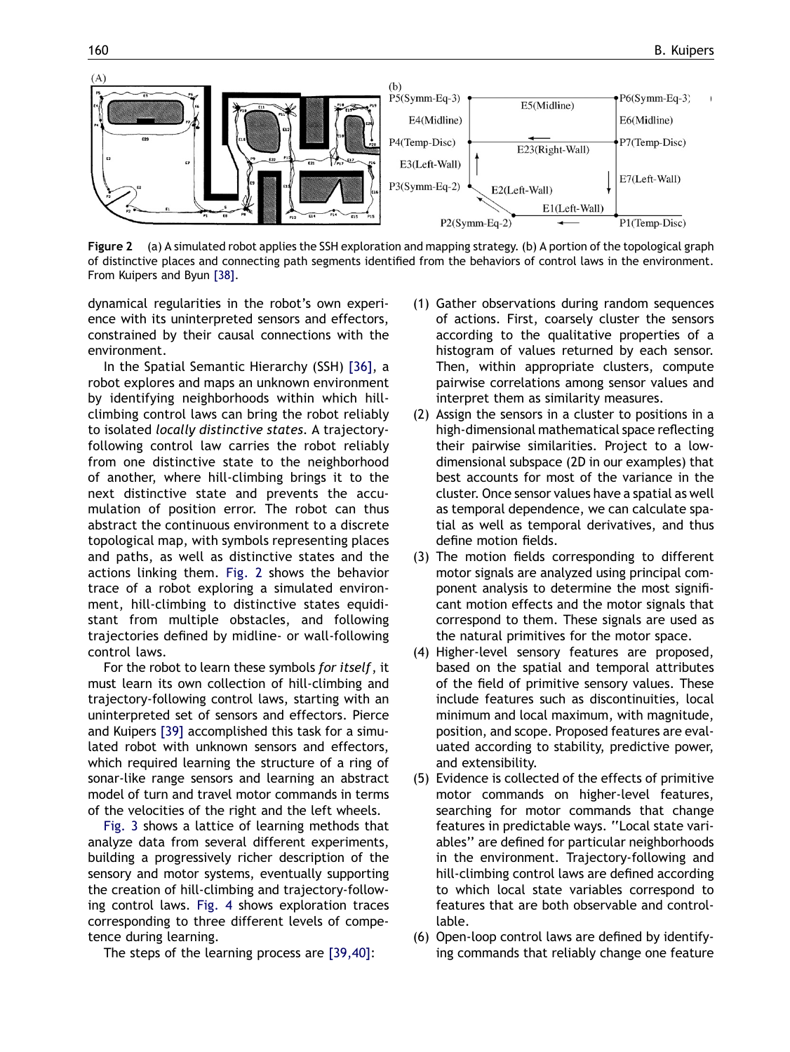

Figure 2 (a) A simulated robot applies the SSH exploration and mapping strategy. (b) A portion of the topological graph of distinctive places and connecting path segments identified from the behaviors of control laws in the environment. From Kuipers and Byun [\[38\]](#page-15-0).

dynamical regularities in the robot's own experience with its uninterpreted sensors and effectors, constrained by their causal connections with the environment.

In the Spatial Semantic Hierarchy (SSH) [\[36\],](#page-15-0) a robot explores and maps an unknown environment by identifying neighborhoods within which hillclimbing control laws can bring the robot reliably to isolated locally distinctive states. A trajectoryfollowing control law carries the robot reliably from one distinctive state to the neighborhood of another, where hill-climbing brings it to the next distinctive state and prevents the accumulation of position error. The robot can thus abstract the continuous environment to a discrete topological map, with symbols representing places and paths, as well as distinctive states and the actions linking them. Fig. 2 shows the behavior trace of a robot exploring a simulated environment, hill-climbing to distinctive states equidistant from multiple obstacles, and following trajectories defined by midline- or wall-following control laws.

For the robot to learn these symbols for itself, it must learn its own collection of hill-climbing and trajectory-following control laws, starting with an uninterpreted set of sensors and effectors. Pierce and Kuipers [\[39\]](#page-15-0) accomplished this task for a simulated robot with unknown sensors and effectors, which required learning the structure of a ring of sonar-like range sensors and learning an abstract model of turn and travel motor commands in terms of the velocities of the right and the left wheels.

[Fig. 3](#page-6-0) shows a lattice of learning methods that analyze data from several different experiments, building a progressively richer description of the sensory and motor systems, eventually supporting the creation of hill-climbing and trajectory-following control laws. [Fig. 4](#page-7-0) shows exploration traces corresponding to three different levels of competence during learning.

The steps of the learning process are [\[39,40\]:](#page-15-0)

- (1) Gather observations during random sequences of actions. First, coarsely cluster the sensors according to the qualitative properties of a histogram of values returned by each sensor. Then, within appropriate clusters, compute pairwise correlations among sensor values and interpret them as similarity measures.
- (2) Assign the sensors in a cluster to positions in a high-dimensional mathematical space reflecting their pairwise similarities. Project to a lowdimensional subspace (2D in our examples) that best accounts for most of the variance in the cluster. Once sensor values have a spatial as well as temporal dependence, we can calculate spatial as well as temporal derivatives, and thus define motion fields.
- (3) The motion fields corresponding to different motor signals are analyzed using principal component analysis to determine the most significant motion effects and the motor signals that correspond to them. These signals are used as the natural primitives for the motor space.
- (4) Higher-level sensory features are proposed, based on the spatial and temporal attributes of the field of primitive sensory values. These include features such as discontinuities, local minimum and local maximum, with magnitude, position, and scope. Proposed features are evaluated according to stability, predictive power, and extensibility.
- (5) Evidence is collected of the effects of primitive motor commands on higher-level features, searching for motor commands that change features in predictable ways. ''Local state variables'' are defined for particular neighborhoods in the environment. Trajectory-following and hill-climbing control laws are defined according to which local state variables correspond to features that are both observable and controllable.
- (6) Open-loop control laws are defined by identifying commands that reliably change one feature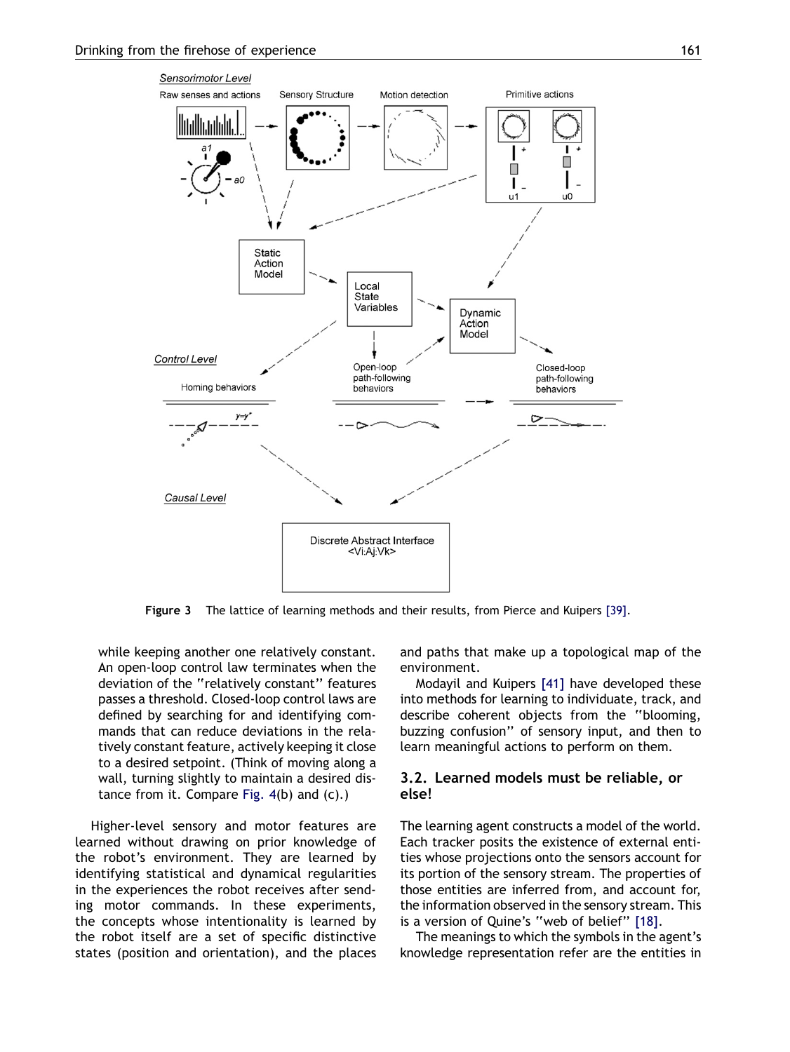<span id="page-6-0"></span>

Figure 3 The lattice of learning methods and their results, from Pierce and Kuipers [\[39\].](#page-15-0)

while keeping another one relatively constant. An open-loop control law terminates when the deviation of the ''relatively constant'' features passes a threshold. Closed-loop control laws are defined by searching for and identifying commands that can reduce deviations in the relatively constant feature, actively keeping it close to a desired setpoint. (Think of moving along a wall, turning slightly to maintain a desired distance from it. Compare [Fig. 4](#page-7-0)(b) and (c).)

Higher-level sensory and motor features are learned without drawing on prior knowledge of the robot's environment. They are learned by identifying statistical and dynamical regularities in the experiences the robot receives after sending motor commands. In these experiments, the concepts whose intentionality is learned by the robot itself are a set of specific distinctive states (position and orientation), and the places and paths that make up a topological map of the environment.

Modayil and Kuipers [\[41\]](#page-15-0) have developed these into methods for learning to individuate, track, and describe coherent objects from the ''blooming, buzzing confusion'' of sensory input, and then to learn meaningful actions to perform on them.

#### 3.2. Learned models must be reliable, or else!

The learning agent constructs a model of the world. Each tracker posits the existence of external entities whose projections onto the sensors account for its portion of the sensory stream. The properties of those entities are inferred from, and account for, the information observed in the sensory stream. This is a version of Quine's ''web of belief'' [\[18\].](#page-14-0)

The meanings to which the symbols in the agent's knowledge representation refer are the entities in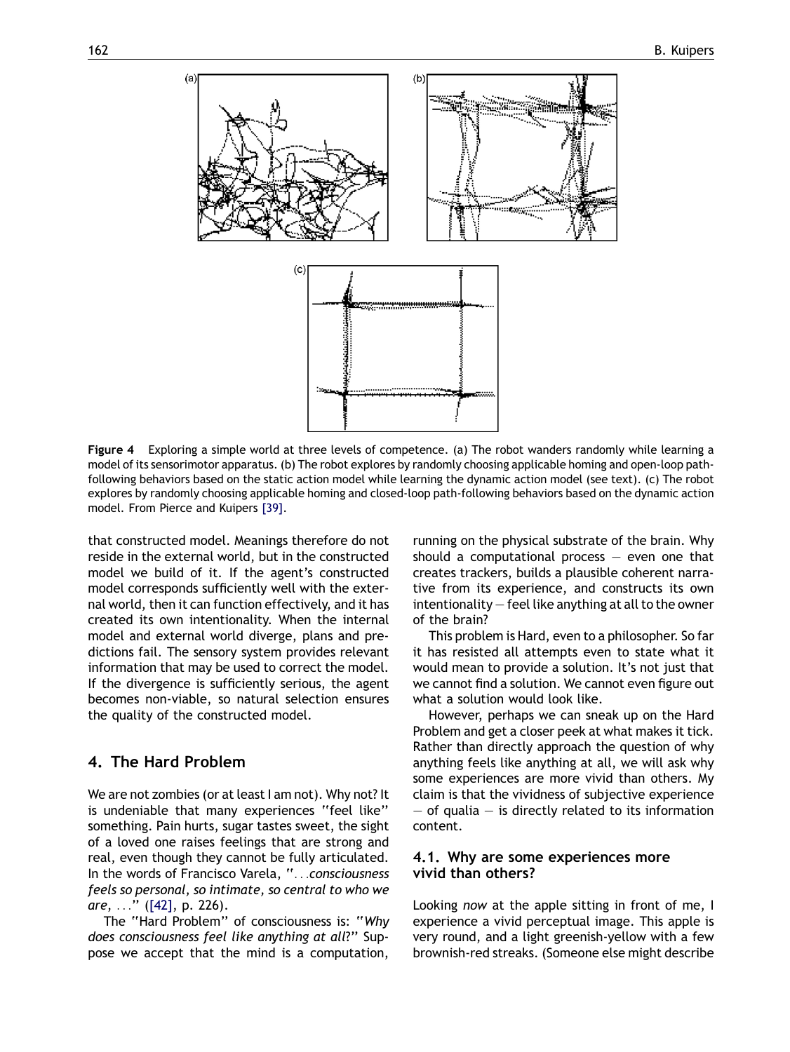<span id="page-7-0"></span>

Figure 4 Exploring a simple world at three levels of competence. (a) The robot wanders randomly while learning a model of its sensorimotor apparatus. (b) The robot explores by randomly choosing applicable homing and open-loop pathfollowing behaviors based on the static action model while learning the dynamic action model (see text). (c) The robot explores by randomly choosing applicable homing and closed-loop path-following behaviors based on the dynamic action model. From Pierce and Kuipers [\[39\]](#page-15-0).

that constructed model. Meanings therefore do not reside in the external world, but in the constructed model we build of it. If the agent's constructed model corresponds sufficiently well with the external world, then it can function effectively, and it has created its own intentionality. When the internal model and external world diverge, plans and predictions fail. The sensory system provides relevant information that may be used to correct the model. If the divergence is sufficiently serious, the agent becomes non-viable, so natural selection ensures the quality of the constructed model.

# 4. The Hard Problem

We are not zombies (or at least I am not). Why not? It is undeniable that many experiences ''feel like'' something. Pain hurts, sugar tastes sweet, the sight of a loved one raises feelings that are strong and real, even though they cannot be fully articulated. In the words of Francisco Varela, ''...consciousness feels so personal, so intimate, so central to who we are, ...'' ([\[42\]](#page-15-0), p. 226).

The ''Hard Problem'' of consciousness is: ''Why does consciousness feel like anything at all?'' Suppose we accept that the mind is a computation,

running on the physical substrate of the brain. Why should a computational process  $-$  even one that creates trackers, builds a plausible coherent narrative from its experience, and constructs its own intentionality — feel like anything at all to the owner of the brain?

This problem is Hard, even to a philosopher. So far it has resisted all attempts even to state what it would mean to provide a solution. It's not just that we cannot find a solution. We cannot even figure out what a solution would look like.

However, perhaps we can sneak up on the Hard Problem and get a closer peek at what makes it tick. Rather than directly approach the question of why anything feels like anything at all, we will ask why some experiences are more vivid than others. My claim is that the vividness of subjective experience  $-$  of qualia  $-$  is directly related to its information content.

## 4.1. Why are some experiences more vivid than others?

Looking now at the apple sitting in front of me, I experience a vivid perceptual image. This apple is very round, and a light greenish-yellow with a few brownish-red streaks. (Someone else might describe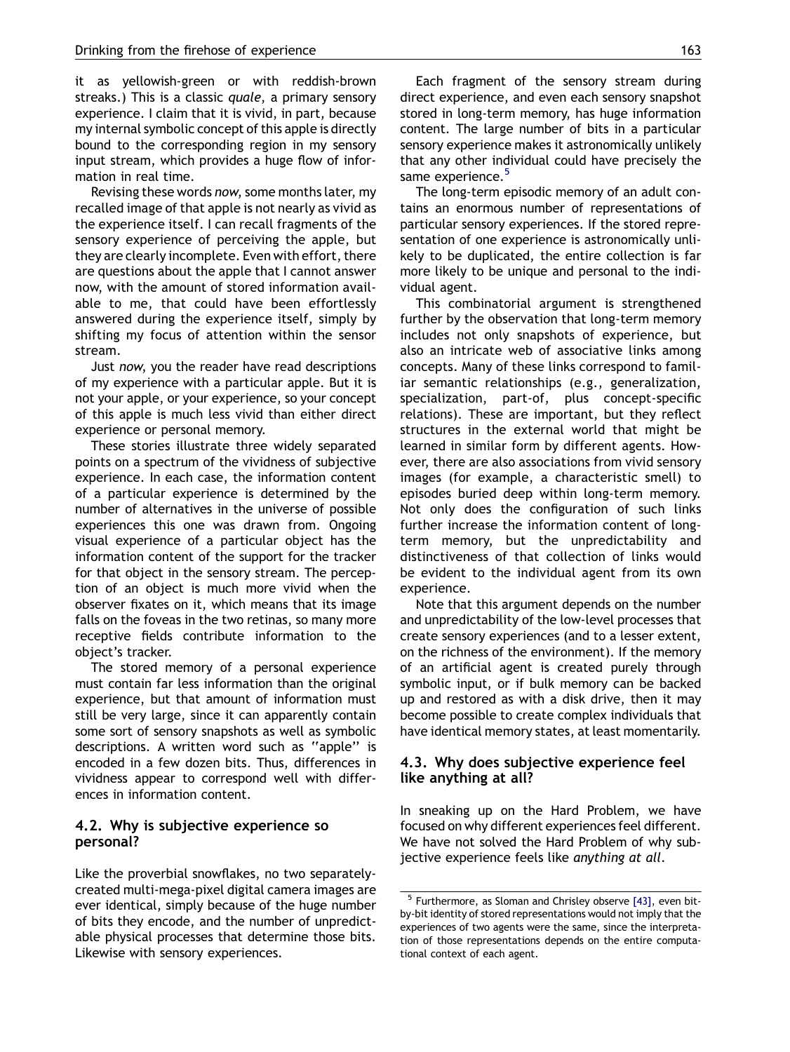it as yellowish-green or with reddish-brown streaks.) This is a classic quale, a primary sensory experience. I claim that it is vivid, in part, because my internal symbolic concept of this apple is directly bound to the corresponding region in my sensory input stream, which provides a huge flow of information in real time.

Revising these words now, some months later, my recalled image of that apple is not nearly as vivid as the experience itself. I can recall fragments of the sensory experience of perceiving the apple, but they are clearly incomplete. Even with effort, there are questions about the apple that I cannot answer now, with the amount of stored information available to me, that could have been effortlessly answered during the experience itself, simply by shifting my focus of attention within the sensor stream.

Just now, you the reader have read descriptions of my experience with a particular apple. But it is not your apple, or your experience, so your concept of this apple is much less vivid than either direct experience or personal memory.

These stories illustrate three widely separated points on a spectrum of the vividness of subjective experience. In each case, the information content of a particular experience is determined by the number of alternatives in the universe of possible experiences this one was drawn from. Ongoing visual experience of a particular object has the information content of the support for the tracker for that object in the sensory stream. The perception of an object is much more vivid when the observer fixates on it, which means that its image falls on the foveas in the two retinas, so many more receptive fields contribute information to the object's tracker.

The stored memory of a personal experience must contain far less information than the original experience, but that amount of information must still be very large, since it can apparently contain some sort of sensory snapshots as well as symbolic descriptions. A written word such as ''apple'' is encoded in a few dozen bits. Thus, differences in vividness appear to correspond well with differences in information content.

## 4.2. Why is subjective experience so personal?

Like the proverbial snowflakes, no two separatelycreated multi-mega-pixel digital camera images are ever identical, simply because of the huge number of bits they encode, and the number of unpredictable physical processes that determine those bits. Likewise with sensory experiences.

Each fragment of the sensory stream during direct experience, and even each sensory snapshot stored in long-term memory, has huge information content. The large number of bits in a particular sensory experience makes it astronomically unlikely that any other individual could have precisely the same experience.<sup>5</sup>

The long-term episodic memory of an adult contains an enormous number of representations of particular sensory experiences. If the stored representation of one experience is astronomically unlikely to be duplicated, the entire collection is far more likely to be unique and personal to the individual agent.

This combinatorial argument is strengthened further by the observation that long-term memory includes not only snapshots of experience, but also an intricate web of associative links among concepts. Many of these links correspond to familiar semantic relationships (e.g., generalization, specialization, part-of, plus concept-specific relations). These are important, but they reflect structures in the external world that might be learned in similar form by different agents. However, there are also associations from vivid sensory images (for example, a characteristic smell) to episodes buried deep within long-term memory. Not only does the configuration of such links further increase the information content of longterm memory, but the unpredictability and distinctiveness of that collection of links would be evident to the individual agent from its own experience.

Note that this argument depends on the number and unpredictability of the low-level processes that create sensory experiences (and to a lesser extent, on the richness of the environment). If the memory of an artificial agent is created purely through symbolic input, or if bulk memory can be backed up and restored as with a disk drive, then it may become possible to create complex individuals that have identical memory states, at least momentarily.

#### 4.3. Why does subjective experience feel like anything at all?

In sneaking up on the Hard Problem, we have focused on why different experiences feel different. We have not solved the Hard Problem of why subjective experience feels like anything at all.

 $5$  Furthermore, as Sloman and Chrisley observe [\[43\]](#page-15-0), even bitby-bit identity of stored representations would not imply that the experiences of two agents were the same, since the interpretation of those representations depends on the entire computational context of each agent.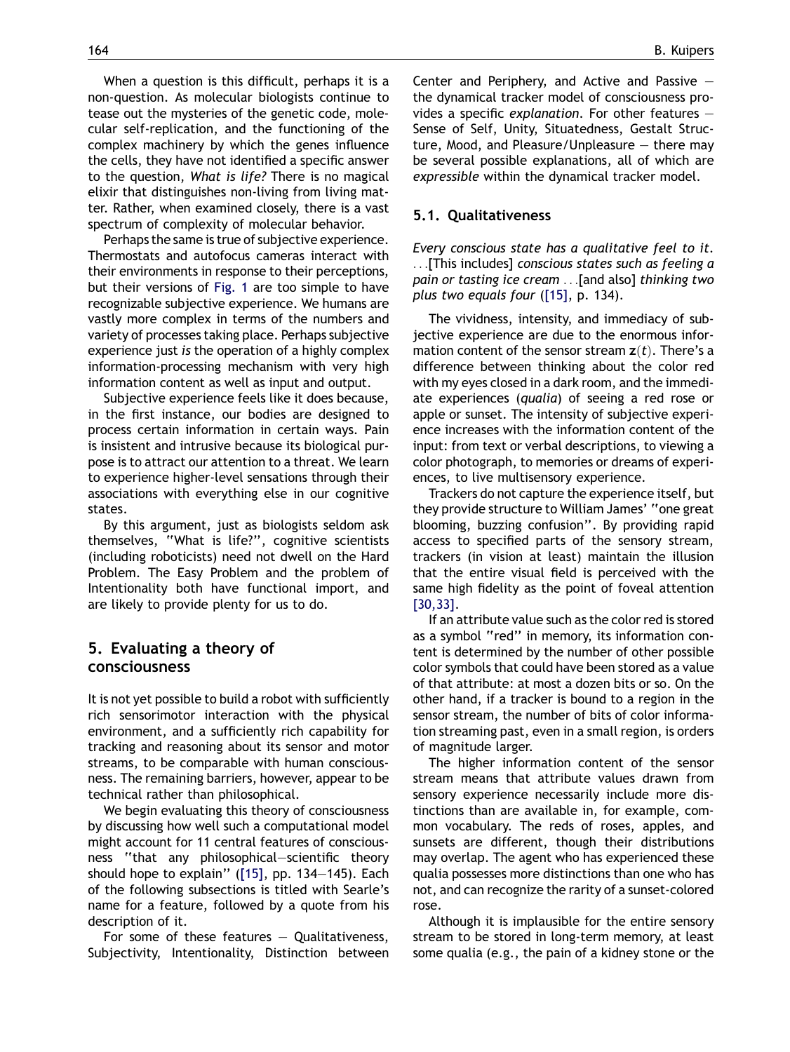<span id="page-9-0"></span>When a question is this difficult, perhaps it is a non-question. As molecular biologists continue to tease out the mysteries of the genetic code, molecular self-replication, and the functioning of the complex machinery by which the genes influence the cells, they have not identified a specific answer to the question, What is life? There is no magical elixir that distinguishes non-living from living matter. Rather, when examined closely, there is a vast spectrum of complexity of molecular behavior.

Perhaps the same is true of subjective experience. Thermostats and autofocus cameras interact with their environments in response to their perceptions, but their versions of [Fig. 1](#page-2-0) are too simple to have recognizable subjective experience. We humans are vastly more complex in terms of the numbers and variety of processes taking place. Perhaps subjective experience just is the operation of a highly complex information-processing mechanism with very high information content as well as input and output.

Subjective experience feels like it does because, in the first instance, our bodies are designed to process certain information in certain ways. Pain is insistent and intrusive because its biological purpose is to attract our attention to a threat. We learn to experience higher-level sensations through their associations with everything else in our cognitive states.

By this argument, just as biologists seldom ask themselves, ''What is life?'', cognitive scientists (including roboticists) need not dwell on the Hard Problem. The Easy Problem and the problem of Intentionality both have functional import, and are likely to provide plenty for us to do.

# 5. Evaluating a theory of consciousness

It is not yet possible to build a robot with sufficiently rich sensorimotor interaction with the physical environment, and a sufficiently rich capability for tracking and reasoning about its sensor and motor streams, to be comparable with human consciousness. The remaining barriers, however, appear to be technical rather than philosophical.

We begin evaluating this theory of consciousness by discussing how well such a computational model might account for 11 central features of consciousness ''that any philosophical—scientific theory should hope to explain'' [\(\[15\],](#page-14-0) pp. 134—145). Each of the following subsections is titled with Searle's name for a feature, followed by a quote from his description of it.

For some of these features  $-$  Qualitativeness, Subjectivity, Intentionality, Distinction between Center and Periphery, and Active and Passive the dynamical tracker model of consciousness provides a specific explanation. For other features  $-$ Sense of Self, Unity, Situatedness, Gestalt Structure, Mood, and Pleasure/Unpleasure — there may be several possible explanations, all of which are expressible within the dynamical tracker model.

#### 5.1. Qualitativeness

Every conscious state has a qualitative feel to it. ...[This includes] conscious states such as feeling a pain or tasting ice cream ...[and also] thinking two plus two equals four ([\[15\]](#page-14-0), p. 134).

The vividness, intensity, and immediacy of subjective experience are due to the enormous information content of the sensor stream  $z(t)$ . There's a difference between thinking about the color red with my eyes closed in a dark room, and the immediate experiences (qualia) of seeing a red rose or apple or sunset. The intensity of subjective experience increases with the information content of the input: from text or verbal descriptions, to viewing a color photograph, to memories or dreams of experiences, to live multisensory experience.

Trackers do not capture the experience itself, but they provide structure to William James' ''one great blooming, buzzing confusion''. By providing rapid access to specified parts of the sensory stream, trackers (in vision at least) maintain the illusion that the entire visual field is perceived with the same high fidelity as the point of foveal attention [\[30,33\]](#page-15-0).

If an attribute value such as the color red is stored as a symbol ''red'' in memory, its information content is determined by the number of other possible color symbols that could have been stored as a value of that attribute: at most a dozen bits or so. On the other hand, if a tracker is bound to a region in the sensor stream, the number of bits of color information streaming past, even in a small region, is orders of magnitude larger.

The higher information content of the sensor stream means that attribute values drawn from sensory experience necessarily include more distinctions than are available in, for example, common vocabulary. The reds of roses, apples, and sunsets are different, though their distributions may overlap. The agent who has experienced these qualia possesses more distinctions than one who has not, and can recognize the rarity of a sunset-colored rose.

Although it is implausible for the entire sensory stream to be stored in long-term memory, at least some qualia (e.g., the pain of a kidney stone or the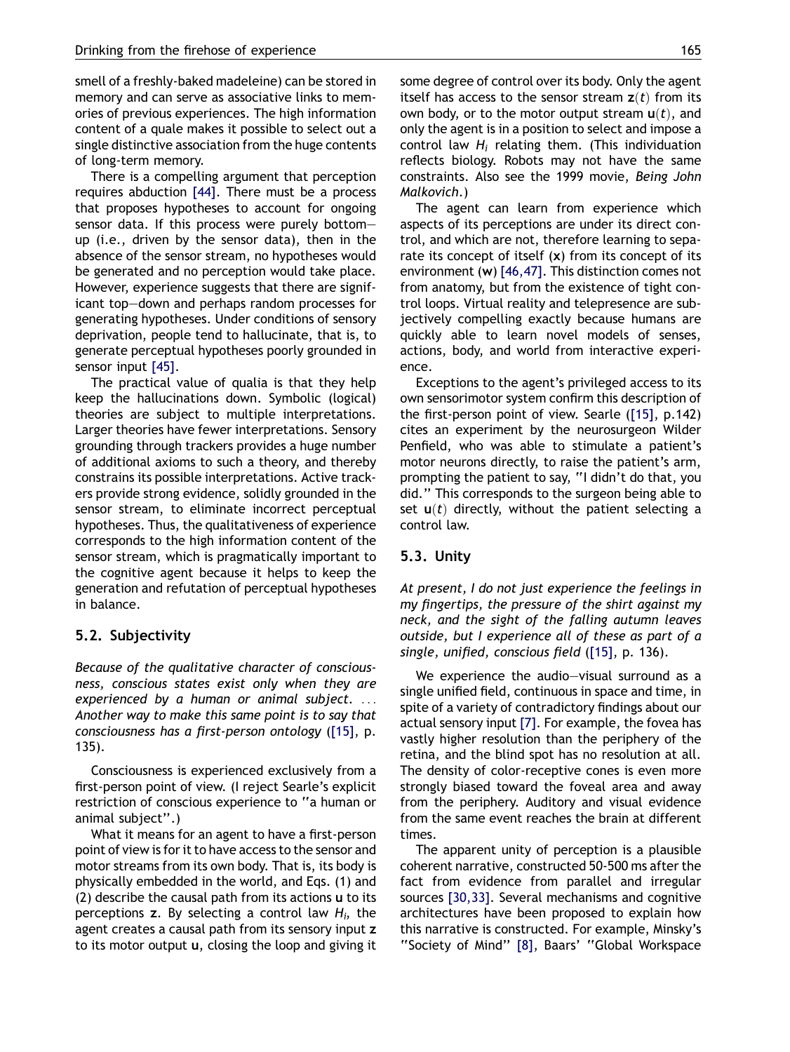smell of a freshly-baked madeleine) can be stored in memory and can serve as associative links to memories of previous experiences. The high information content of a quale makes it possible to select out a single distinctive association from the huge contents of long-term memory.

There is a compelling argument that perception requires abduction [\[44\].](#page-15-0) There must be a process that proposes hypotheses to account for ongoing sensor data. If this process were purely bottom up (i.e., driven by the sensor data), then in the absence of the sensor stream, no hypotheses would be generated and no perception would take place. However, experience suggests that there are significant top—down and perhaps random processes for generating hypotheses. Under conditions of sensory deprivation, people tend to hallucinate, that is, to generate perceptual hypotheses poorly grounded in sensor input [\[45\].](#page-15-0)

The practical value of qualia is that they help keep the hallucinations down. Symbolic (logical) theories are subject to multiple interpretations. Larger theories have fewer interpretations. Sensory grounding through trackers provides a huge number of additional axioms to such a theory, and thereby constrains its possible interpretations. Active trackers provide strong evidence, solidly grounded in the sensor stream, to eliminate incorrect perceptual hypotheses. Thus, the qualitativeness of experience corresponds to the high information content of the sensor stream, which is pragmatically important to the cognitive agent because it helps to keep the generation and refutation of perceptual hypotheses in balance.

## 5.2. Subjectivity

Because of the qualitative character of consciousness, conscious states exist only when they are experienced by a human or animal subject. ... Another way to make this same point is to say that consciousness has a first-person ontology ([\[15\]](#page-14-0), p. 135).

Consciousness is experienced exclusively from a first-person point of view. (I reject Searle's explicit restriction of conscious experience to ''a human or animal subject''.)

What it means for an agent to have a first-person point of view is for it to have access to the sensor and motor streams from its own body. That is, its body is physically embedded in the world, and Eqs. (1) and (2) describe the causal path from its actions u to its perceptions  ${\sf z}.$  By selecting a control law  $H_{i\!$ , the agent creates a causal path from its sensory input z to its motor output u, closing the loop and giving it

some degree of control over its body. Only the agent itself has access to the sensor stream  $z(t)$  from its own body, or to the motor output stream  $u(t)$ , and only the agent is in a position to select and impose a control law  $H_i$  relating them. (This individuation reflects biology. Robots may not have the same constraints. Also see the 1999 movie, Being John Malkovich.)

The agent can learn from experience which aspects of its perceptions are under its direct control, and which are not, therefore learning to separate its concept of itself  $(x)$  from its concept of its environment (w) [\[46,47\]](#page-15-0). This distinction comes not from anatomy, but from the existence of tight control loops. Virtual reality and telepresence are subjectively compelling exactly because humans are quickly able to learn novel models of senses, actions, body, and world from interactive experience.

Exceptions to the agent's privileged access to its own sensorimotor system confirm this description of the first-person point of view. Searle ([\[15\]](#page-14-0), p.142) cites an experiment by the neurosurgeon Wilder Penfield, who was able to stimulate a patient's motor neurons directly, to raise the patient's arm, prompting the patient to say, ''I didn't do that, you did.'' This corresponds to the surgeon being able to set  $u(t)$  directly, without the patient selecting a control law.

#### 5.3. Unity

At present, I do not just experience the feelings in my fingertips, the pressure of the shirt against my neck, and the sight of the falling autumn leaves outside, but I experience all of these as part of a single, unified, conscious field ([\[15\]](#page-14-0), p. 136).

We experience the audio—visual surround as a single unified field, continuous in space and time, in spite of a variety of contradictory findings about our actual sensory input [\[7\].](#page-14-0) For example, the fovea has vastly higher resolution than the periphery of the retina, and the blind spot has no resolution at all. The density of color-receptive cones is even more strongly biased toward the foveal area and away from the periphery. Auditory and visual evidence from the same event reaches the brain at different times.

The apparent unity of perception is a plausible coherent narrative, constructed 50-500 ms after the fact from evidence from parallel and irregular sources [\[30,33\].](#page-15-0) Several mechanisms and cognitive architectures have been proposed to explain how this narrative is constructed. For example, Minsky's ''Society of Mind'' [\[8\]](#page-14-0), Baars' ''Global Workspace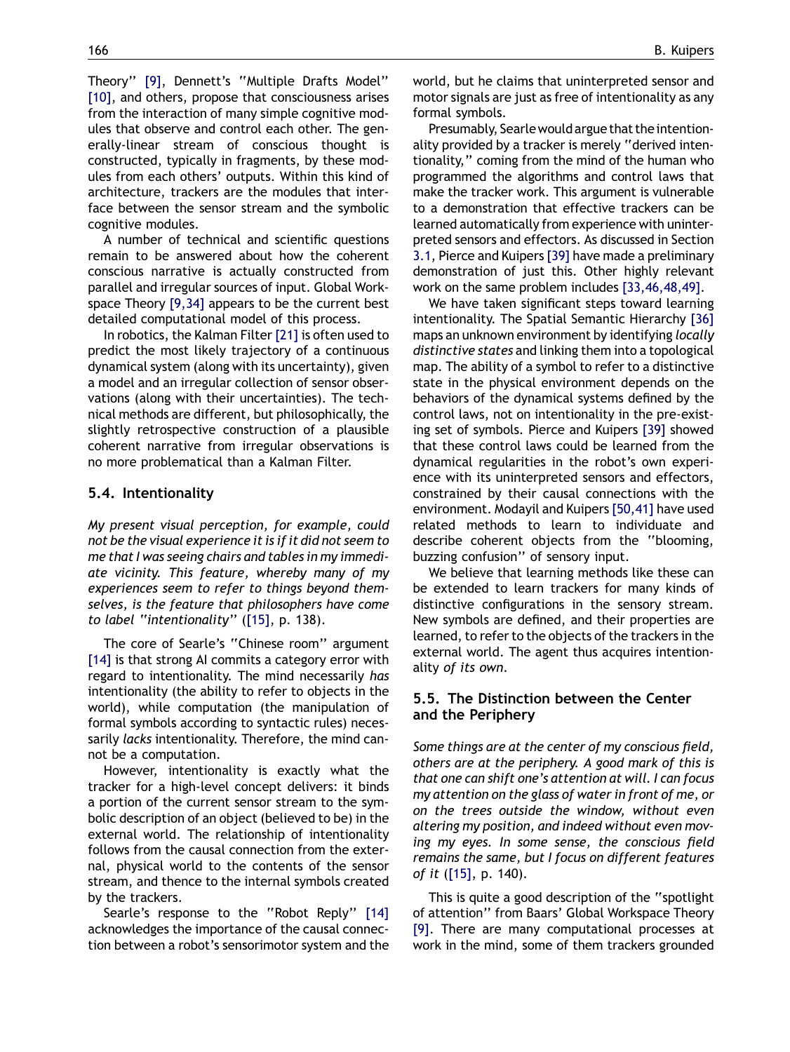Theory'' [\[9\],](#page-14-0) Dennett's ''Multiple Drafts Model'' [\[10\]](#page-14-0), and others, propose that consciousness arises from the interaction of many simple cognitive modules that observe and control each other. The generally-linear stream of conscious thought is constructed, typically in fragments, by these modules from each others' outputs. Within this kind of architecture, trackers are the modules that interface between the sensor stream and the symbolic cognitive modules.

A number of technical and scientific questions remain to be answered about how the coherent conscious narrative is actually constructed from parallel and irregular sources of input. Global Workspace Theory [\[9,34\]](#page-14-0) appears to be the current best detailed computational model of this process.

In robotics, the Kalman Filter [\[21\]](#page-14-0) is often used to predict the most likely trajectory of a continuous dynamical system (along with its uncertainty), given a model and an irregular collection of sensor observations (along with their uncertainties). The technical methods are different, but philosophically, the slightly retrospective construction of a plausible coherent narrative from irregular observations is no more problematical than a Kalman Filter.

# 5.4. Intentionality

My present visual perception, for example, could not be the visual experience it is if it did not seem to me that I was seeing chairs and tables in my immediate vicinity. This feature, whereby many of my experiences seem to refer to things beyond themselves, is the feature that philosophers have come to label ''intentionality'' ([\[15\],](#page-14-0) p. 138).

The core of Searle's ''Chinese room'' argument [\[14\]](#page-14-0) is that strong AI commits a category error with regard to intentionality. The mind necessarily has intentionality (the ability to refer to objects in the world), while computation (the manipulation of formal symbols according to syntactic rules) necessarily lacks intentionality. Therefore, the mind cannot be a computation.

However, intentionality is exactly what the tracker for a high-level concept delivers: it binds a portion of the current sensor stream to the symbolic description of an object (believed to be) in the external world. The relationship of intentionality follows from the causal connection from the external, physical world to the contents of the sensor stream, and thence to the internal symbols created by the trackers.

Searle's response to the ''Robot Reply'' [\[14\]](#page-14-0) acknowledges the importance of the causal connection between a robot's sensorimotor system and the world, but he claims that uninterpreted sensor and motor signals are just as free of intentionality as any formal symbols.

Presumably, Searle would argue that the intentionality provided by a tracker is merely ''derived intentionality,'' coming from the mind of the human who programmed the algorithms and control laws that make the tracker work. This argument is vulnerable to a demonstration that effective trackers can be learned automatically from experience with uninterpreted sensors and effectors. As discussed in Section [3.1](#page-4-0), Pierce and Kuipers [\[39\]](#page-15-0) have made a preliminary demonstration of just this. Other highly relevant work on the same problem includes [\[33,46,48,49\]](#page-15-0).

We have taken significant steps toward learning intentionality. The Spatial Semantic Hierarchy [\[36\]](#page-15-0) maps an unknown environment by identifying locally distinctive states and linking them into a topological map. The ability of a symbol to refer to a distinctive state in the physical environment depends on the behaviors of the dynamical systems defined by the control laws, not on intentionality in the pre-existing set of symbols. Pierce and Kuipers [\[39\]](#page-15-0) showed that these control laws could be learned from the dynamical regularities in the robot's own experience with its uninterpreted sensors and effectors, constrained by their causal connections with the environment. Modayil and Kuipers [\[50,41\]](#page-15-0) have used related methods to learn to individuate and describe coherent objects from the ''blooming, buzzing confusion'' of sensory input.

We believe that learning methods like these can be extended to learn trackers for many kinds of distinctive configurations in the sensory stream. New symbols are defined, and their properties are learned, to refer to the objects of the trackers in the external world. The agent thus acquires intentionality of its own.

# 5.5. The Distinction between the Center and the Periphery

Some things are at the center of my conscious field, others are at the periphery. A good mark of this is that one can shift one's attention at will. I can focus my attention on the glass of water in front of me, or on the trees outside the window, without even altering my position, and indeed without even moving my eyes. In some sense, the conscious field remains the same, but I focus on different features of it [\(\[15\],](#page-14-0) p. 140).

This is quite a good description of the ''spotlight of attention'' from Baars' Global Workspace Theory [\[9\].](#page-14-0) There are many computational processes at work in the mind, some of them trackers grounded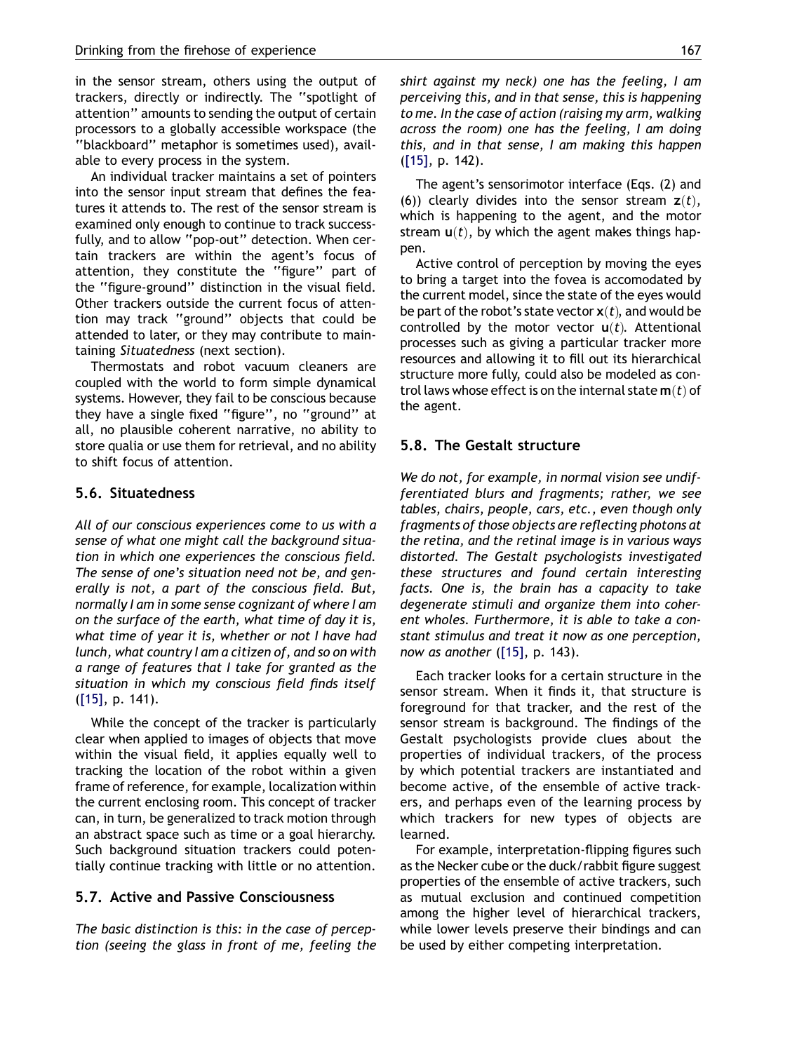in the sensor stream, others using the output of trackers, directly or indirectly. The ''spotlight of attention'' amounts to sending the output of certain processors to a globally accessible workspace (the ''blackboard'' metaphor is sometimes used), available to every process in the system.

An individual tracker maintains a set of pointers into the sensor input stream that defines the features it attends to. The rest of the sensor stream is examined only enough to continue to track successfully, and to allow ''pop-out'' detection. When certain trackers are within the agent's focus of attention, they constitute the ''figure'' part of the ''figure-ground'' distinction in the visual field. Other trackers outside the current focus of attention may track ''ground'' objects that could be attended to later, or they may contribute to maintaining Situatedness (next section).

Thermostats and robot vacuum cleaners are coupled with the world to form simple dynamical systems. However, they fail to be conscious because they have a single fixed ''figure'', no ''ground'' at all, no plausible coherent narrative, no ability to store qualia or use them for retrieval, and no ability to shift focus of attention.

# 5.6. Situatedness

All of our conscious experiences come to us with a sense of what one might call the background situation in which one experiences the conscious field. The sense of one's situation need not be, and generally is not, a part of the conscious field. But, normally I am in some sense cognizant of where I am on the surface of the earth, what time of day it is, what time of year it is, whether or not I have had lunch, what country I am a citizen of, and so on with a range of features that I take for granted as the situation in which my conscious field finds itself [\(\[15\]](#page-14-0), p. 141).

While the concept of the tracker is particularly clear when applied to images of objects that move within the visual field, it applies equally well to tracking the location of the robot within a given frame of reference, for example, localization within the current enclosing room. This concept of tracker can, in turn, be generalized to track motion through an abstract space such as time or a goal hierarchy. Such background situation trackers could potentially continue tracking with little or no attention.

#### 5.7. Active and Passive Consciousness

The basic distinction is this: in the case of perception (seeing the glass in front of me, feeling the shirt against my neck) one has the feeling, I am perceiving this, and in that sense, this is happening to me. In the case of action (raising my arm, walking across the room) one has the feeling, I am doing this, and in that sense, I am making this happen [\(\[15\]](#page-14-0), p. 142).

The agent's sensorimotor interface (Eqs. (2) and (6)) clearly divides into the sensor stream  $z(t)$ , which is happening to the agent, and the motor stream  $u(t)$ , by which the agent makes things happen.

Active control of perception by moving the eyes to bring a target into the fovea is accomodated by the current model, since the state of the eyes would be part of the robot's state vector  $x(t)$ , and would be controlled by the motor vector  $u(t)$ . Attentional processes such as giving a particular tracker more resources and allowing it to fill out its hierarchical structure more fully, could also be modeled as control laws whose effect is on the internal state  $m(t)$  of the agent.

#### 5.8. The Gestalt structure

We do not, for example, in normal vision see undifferentiated blurs and fragments; rather, we see tables, chairs, people, cars, etc., even though only fragments of those objects are reflecting photons at the retina, and the retinal image is in various ways distorted. The Gestalt psychologists investigated these structures and found certain interesting facts. One is, the brain has a capacity to take degenerate stimuli and organize them into coherent wholes. Furthermore, it is able to take a constant stimulus and treat it now as one perception, now as another ([\[15\]](#page-14-0), p. 143).

Each tracker looks for a certain structure in the sensor stream. When it finds it, that structure is foreground for that tracker, and the rest of the sensor stream is background. The findings of the Gestalt psychologists provide clues about the properties of individual trackers, of the process by which potential trackers are instantiated and become active, of the ensemble of active trackers, and perhaps even of the learning process by which trackers for new types of objects are learned.

For example, interpretation-flipping figures such as the Necker cube or the duck/rabbit figure suggest properties of the ensemble of active trackers, such as mutual exclusion and continued competition among the higher level of hierarchical trackers, while lower levels preserve their bindings and can be used by either competing interpretation.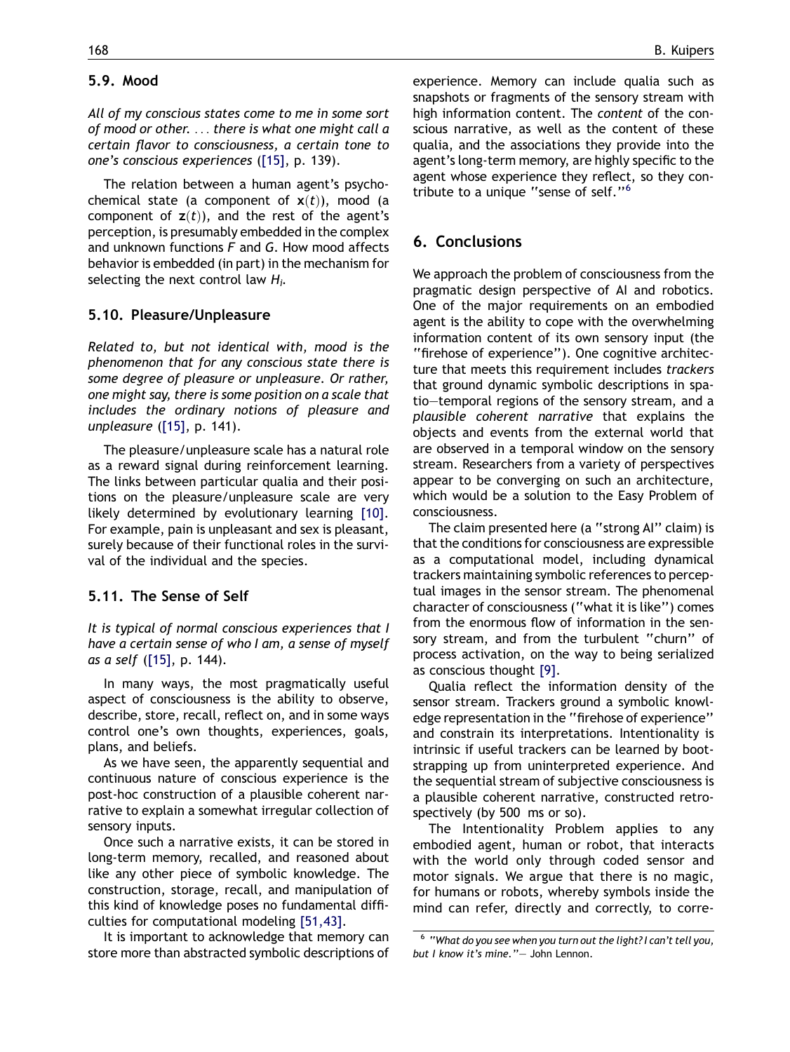## 5.9. Mood

All of my conscious states come to me in some sort of mood or other. ... there is what one might call a certain flavor to consciousness, a certain tone to one's conscious experiences [\(\[15\],](#page-14-0) p. 139).

The relation between a human agent's psychochemical state (a component of  $x(t)$ ), mood (a component of  $z(t)$ ), and the rest of the agent's perception, is presumably embedded in the complex and unknown functions  $F$  and  $G$ . How mood affects behavior is embedded (in part) in the mechanism for selecting the next control law  $H_i$ .

## 5.10. Pleasure/Unpleasure

Related to, but not identical with, mood is the phenomenon that for any conscious state there is some degree of pleasure or unpleasure. Or rather, one might say, there is some position on a scale that includes the ordinary notions of pleasure and unpleasure [\(\[15\],](#page-14-0) p. 141).

The pleasure/unpleasure scale has a natural role as a reward signal during reinforcement learning. The links between particular qualia and their positions on the pleasure/unpleasure scale are very likely determined by evolutionary learning [\[10\].](#page-14-0) For example, pain is unpleasant and sex is pleasant, surely because of their functional roles in the survival of the individual and the species.

# 5.11. The Sense of Self

It is typical of normal conscious experiences that I have a certain sense of who I am, a sense of myself as a self [\(\[15\]](#page-14-0), p. 144).

In many ways, the most pragmatically useful aspect of consciousness is the ability to observe, describe, store, recall, reflect on, and in some ways control one's own thoughts, experiences, goals, plans, and beliefs.

As we have seen, the apparently sequential and continuous nature of conscious experience is the post-hoc construction of a plausible coherent narrative to explain a somewhat irregular collection of sensory inputs.

Once such a narrative exists, it can be stored in long-term memory, recalled, and reasoned about like any other piece of symbolic knowledge. The construction, storage, recall, and manipulation of this kind of knowledge poses no fundamental difficulties for computational modeling [\[51,43\]](#page-15-0).

It is important to acknowledge that memory can store more than abstracted symbolic descriptions of experience. Memory can include qualia such as snapshots or fragments of the sensory stream with high information content. The content of the conscious narrative, as well as the content of these qualia, and the associations they provide into the agent's long-term memory, are highly specific to the agent whose experience they reflect, so they contribute to a unique ''sense of self.''<sup>6</sup>

# 6. Conclusions

We approach the problem of consciousness from the pragmatic design perspective of AI and robotics. One of the major requirements on an embodied agent is the ability to cope with the overwhelming information content of its own sensory input (the ''firehose of experience''). One cognitive architecture that meets this requirement includes trackers that ground dynamic symbolic descriptions in spatio—temporal regions of the sensory stream, and a plausible coherent narrative that explains the objects and events from the external world that are observed in a temporal window on the sensory stream. Researchers from a variety of perspectives appear to be converging on such an architecture, which would be a solution to the Easy Problem of consciousness.

The claim presented here (a ''strong AI'' claim) is that the conditions for consciousness are expressible as a computational model, including dynamical trackers maintaining symbolic references to perceptual images in the sensor stream. The phenomenal character of consciousness (''what it is like'') comes from the enormous flow of information in the sensory stream, and from the turbulent ''churn'' of process activation, on the way to being serialized as conscious thought [\[9\]](#page-14-0).

Qualia reflect the information density of the sensor stream. Trackers ground a symbolic knowledge representation in the ''firehose of experience'' and constrain its interpretations. Intentionality is intrinsic if useful trackers can be learned by bootstrapping up from uninterpreted experience. And the sequential stream of subjective consciousness is a plausible coherent narrative, constructed retrospectively (by 500 ms or so).

The Intentionality Problem applies to any embodied agent, human or robot, that interacts with the world only through coded sensor and motor signals. We argue that there is no magic, for humans or robots, whereby symbols inside the mind can refer, directly and correctly, to corre-

<sup>6</sup> ''What do you see when you turn out the light? I can't tell you, but I know it's mine."- John Lennon.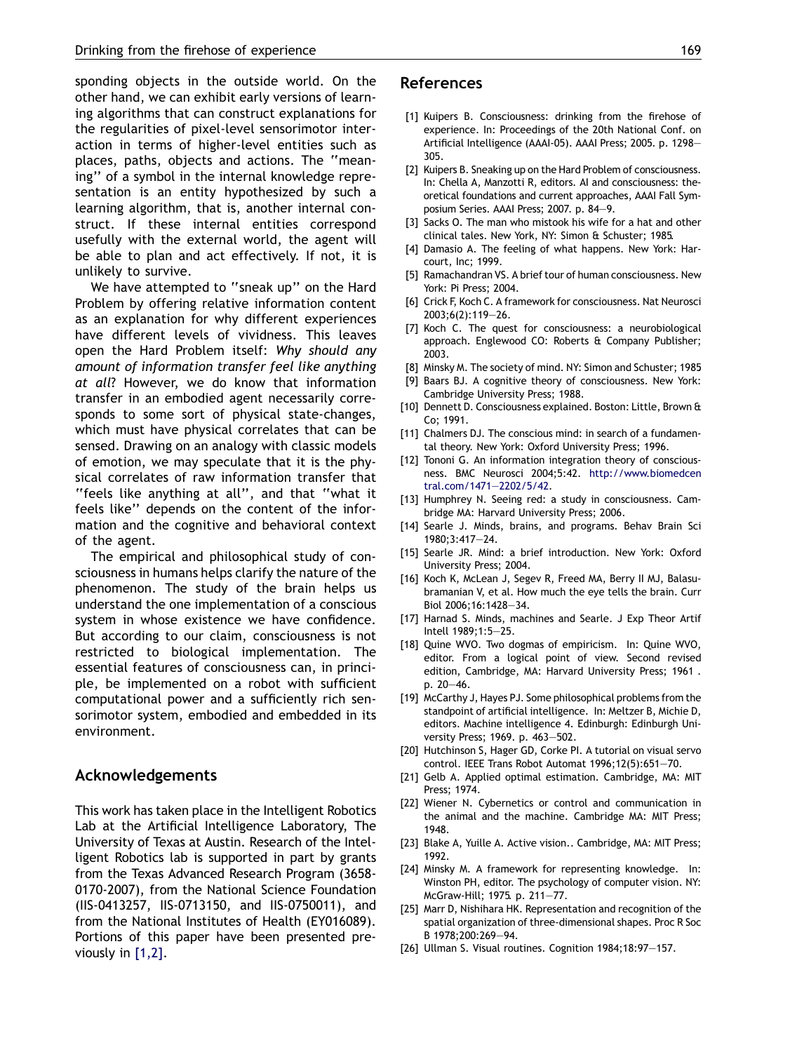<span id="page-14-0"></span>sponding objects in the outside world. On the other hand, we can exhibit early versions of learning algorithms that can construct explanations for the regularities of pixel-level sensorimotor interaction in terms of higher-level entities such as places, paths, objects and actions. The ''meaning'' of a symbol in the internal knowledge representation is an entity hypothesized by such a learning algorithm, that is, another internal construct. If these internal entities correspond usefully with the external world, the agent will be able to plan and act effectively. If not, it is unlikely to survive.

We have attempted to ''sneak up'' on the Hard Problem by offering relative information content as an explanation for why different experiences have different levels of vividness. This leaves open the Hard Problem itself: Why should any amount of information transfer feel like anything at all? However, we do know that information transfer in an embodied agent necessarily corresponds to some sort of physical state-changes, which must have physical correlates that can be sensed. Drawing on an analogy with classic models of emotion, we may speculate that it is the physical correlates of raw information transfer that ''feels like anything at all'', and that ''what it feels like'' depends on the content of the information and the cognitive and behavioral context of the agent.

The empirical and philosophical study of consciousness in humans helps clarify the nature of the phenomenon. The study of the brain helps us understand the one implementation of a conscious system in whose existence we have confidence. But according to our claim, consciousness is not restricted to biological implementation. The essential features of consciousness can, in principle, be implemented on a robot with sufficient computational power and a sufficiently rich sensorimotor system, embodied and embedded in its environment.

#### Acknowledgements

This work has taken place in the Intelligent Robotics Lab at the Artificial Intelligence Laboratory, The University of Texas at Austin. Research of the Intelligent Robotics lab is supported in part by grants from the Texas Advanced Research Program (3658- 0170-2007), from the National Science Foundation (IIS-0413257, IIS-0713150, and IIS-0750011), and from the National Institutes of Health (EY016089). Portions of this paper have been presented previously in [1,2].

#### References

- [1] Kuipers B. Consciousness: drinking from the firehose of experience. In: Proceedings of the 20th National Conf. on Artificial Intelligence (AAAI-05). AAAI Press; 2005. p. 1298— 305.
- [2] Kuipers B. Sneaking up on the Hard Problem of consciousness. In: Chella A, Manzotti R, editors. AI and consciousness: theoretical foundations and current approaches, AAAI Fall Symposium Series. AAAI Press; 2007. p. 84—9.
- [3] Sacks O. The man who mistook his wife for a hat and other clinical tales. New York, NY: Simon & Schuster; 1985.
- [4] Damasio A. The feeling of what happens. New York: Harcourt, Inc; 1999.
- [5] Ramachandran VS. A brief tour of human consciousness. New York: Pi Press; 2004.
- [6] Crick F, Koch C. A framework for consciousness. Nat Neurosci 2003;6(2):119—26.
- [7] Koch C. The quest for consciousness: a neurobiological approach. Englewood CO: Roberts & Company Publisher; 2003.
- [8] Minsky M. The society of mind. NY: Simon and Schuster; 1985.
- [9] Baars BJ. A cognitive theory of consciousness. New York: Cambridge University Press; 1988.
- [10] Dennett D. Consciousness explained. Boston: Little, Brown & Co; 1991.
- [11] Chalmers DJ. The conscious mind: in search of a fundamental theory. New York: Oxford University Press; 1996.
- [12] Tononi G. An information integration theory of consciousness. BMC Neurosci 2004;5:42. [http://www.biomedcen](http://www.biomedcentral.com/1471--2202/5/42) [tral.com/1471—2202/5/42.](http://www.biomedcentral.com/1471--2202/5/42)
- [13] Humphrey N. Seeing red: a study in consciousness. Cambridge MA: Harvard University Press; 2006.
- [14] Searle J. Minds, brains, and programs. Behav Brain Sci 1980;3:417—24.
- [15] Searle JR. Mind: a brief introduction. New York: Oxford University Press; 2004.
- [16] Koch K, McLean J, Segev R, Freed MA, Berry II MJ, Balasubramanian V, et al. How much the eye tells the brain. Curr Biol 2006;16:1428—34.
- [17] Harnad S. Minds, machines and Searle. J Exp Theor Artif Intell 1989;1:5—25.
- [18] Quine WVO. Two dogmas of empiricism. In: Quine WVO, editor. From a logical point of view. Second revised edition, Cambridge, MA: Harvard University Press; 1961 . p. 20—46.
- [19] McCarthy J, Hayes PJ. Some philosophical problems from the standpoint of artificial intelligence. In: Meltzer B, Michie D, editors. Machine intelligence 4. Edinburgh: Edinburgh University Press; 1969. p. 463—502.
- [20] Hutchinson S, Hager GD, Corke PI. A tutorial on visual servo control. IEEE Trans Robot Automat 1996;12(5):651—70.
- [21] Gelb A. Applied optimal estimation. Cambridge, MA: MIT Press; 1974.
- [22] Wiener N. Cybernetics or control and communication in the animal and the machine. Cambridge MA: MIT Press; 1948.
- [23] Blake A, Yuille A. Active vision.. Cambridge, MA: MIT Press; 1992.
- [24] Minsky M. A framework for representing knowledge. In: Winston PH, editor. The psychology of computer vision. NY: McGraw-Hill; 1975. p. 211—77.
- [25] Marr D, Nishihara HK. Representation and recognition of the spatial organization of three-dimensional shapes. Proc R Soc B 1978;200:269—94.
- [26] Ullman S. Visual routines. Cognition 1984;18:97—157.